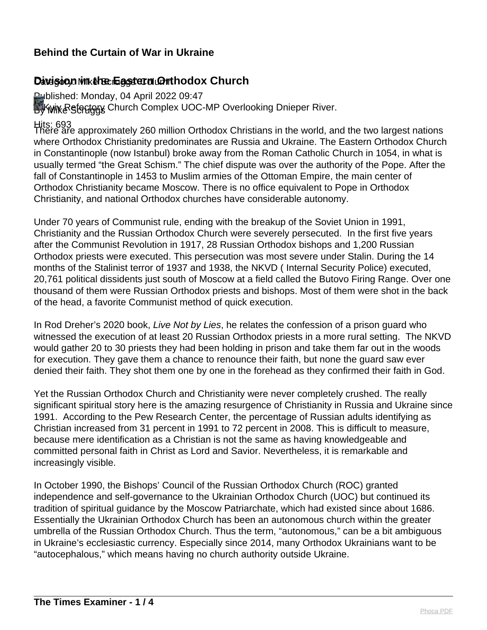# Davision in the Eastern **Orthodox Church**

Published: Monday, 04 April 2022 09:47 By Wike Stedory Church Complex UOC-MP Overlooking Dnieper River.

Hits: 693 There are approximately 260 million Orthodox Christians in the world, and the two largest nations where Orthodox Christianity predominates are Russia and Ukraine. The Eastern Orthodox Church in Constantinople (now Istanbul) broke away from the Roman Catholic Church in 1054, in what is usually termed "the Great Schism." The chief dispute was over the authority of the Pope. After the fall of Constantinople in 1453 to Muslim armies of the Ottoman Empire, the main center of Orthodox Christianity became Moscow. There is no office equivalent to Pope in Orthodox Christianity, and national Orthodox churches have considerable autonomy.

Under 70 years of Communist rule, ending with the breakup of the Soviet Union in 1991, Christianity and the Russian Orthodox Church were severely persecuted. In the first five years after the Communist Revolution in 1917, 28 Russian Orthodox bishops and 1,200 Russian Orthodox priests were executed. This persecution was most severe under Stalin. During the 14 months of the Stalinist terror of 1937 and 1938, the NKVD ( Internal Security Police) executed, 20,761 political dissidents just south of Moscow at a field called the Butovo Firing Range. Over one thousand of them were Russian Orthodox priests and bishops. Most of them were shot in the back of the head, a favorite Communist method of quick execution.

In Rod Dreher's 2020 book, Live Not by Lies, he relates the confession of a prison quard who witnessed the execution of at least 20 Russian Orthodox priests in a more rural setting. The NKVD would gather 20 to 30 priests they had been holding in prison and take them far out in the woods for execution. They gave them a chance to renounce their faith, but none the guard saw ever denied their faith. They shot them one by one in the forehead as they confirmed their faith in God.

Yet the Russian Orthodox Church and Christianity were never completely crushed. The really significant spiritual story here is the amazing resurgence of Christianity in Russia and Ukraine since 1991. According to the Pew Research Center, the percentage of Russian adults identifying as Christian increased from 31 percent in 1991 to 72 percent in 2008. This is difficult to measure, because mere identification as a Christian is not the same as having knowledgeable and committed personal faith in Christ as Lord and Savior. Nevertheless, it is remarkable and increasingly visible.

In October 1990, the Bishops' Council of the Russian Orthodox Church (ROC) granted independence and self-governance to the Ukrainian Orthodox Church (UOC) but continued its tradition of spiritual guidance by the Moscow Patriarchate, which had existed since about 1686. Essentially the Ukrainian Orthodox Church has been an autonomous church within the greater umbrella of the Russian Orthodox Church. Thus the term, "autonomous," can be a bit ambiguous in Ukraine's ecclesiastic currency. Especially since 2014, many Orthodox Ukrainians want to be "autocephalous," which means having no church authority outside Ukraine.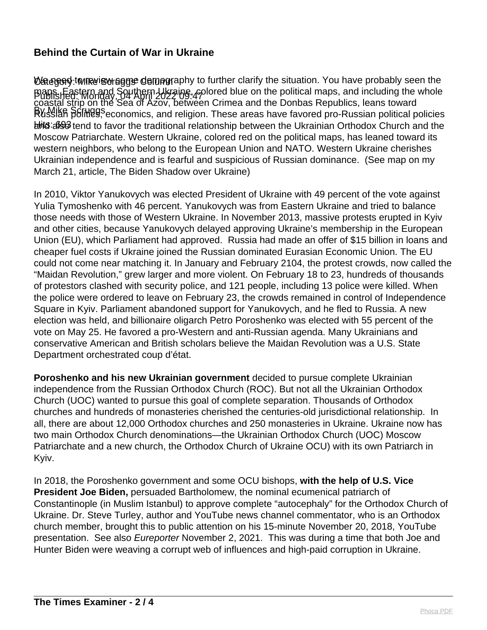**\⁄ე@ დე 2000** Mike is the game of the mongraphy to further clarify the situation. You have probably seen the Published: Monday, 04 April 2022 09:47 maps. Eastern and Southern Ukraine, colored blue on the political maps, and including the whole RVSSISR SCIMPS, economics, and religion. These areas have favored pro-Russian political policies hits: 693 tend to favor the traditional relationship between the Ukrainian Orthodox Church and the coastal strip on the Sea of Azov, between Crimea and the Donbas Republics, leans toward Moscow Patriarchate. Western Ukraine, colored red on the political maps, has leaned toward its western neighbors, who belong to the European Union and NATO. Western Ukraine cherishes Ukrainian independence and is fearful and suspicious of Russian dominance. (See map on my March 21, article, The Biden Shadow over Ukraine)

In 2010, Viktor Yanukovych was elected President of Ukraine with 49 percent of the vote against Yulia Tymoshenko with 46 percent. Yanukovych was from Eastern Ukraine and tried to balance those needs with those of Western Ukraine. In November 2013, massive protests erupted in Kyiv and other cities, because Yanukovych delayed approving Ukraine's membership in the European Union (EU), which Parliament had approved. Russia had made an offer of \$15 billion in loans and cheaper fuel costs if Ukraine joined the Russian dominated Eurasian Economic Union. The EU could not come near matching it. In January and February 2104, the protest crowds, now called the "Maidan Revolution," grew larger and more violent. On February 18 to 23, hundreds of thousands of protestors clashed with security police, and 121 people, including 13 police were killed. When the police were ordered to leave on February 23, the crowds remained in control of Independence Square in Kyiv. Parliament abandoned support for Yanukovych, and he fled to Russia. A new election was held, and billionaire oligarch Petro Poroshenko was elected with 55 percent of the vote on May 25. He favored a pro-Western and anti-Russian agenda. Many Ukrainians and conservative American and British scholars believe the Maidan Revolution was a U.S. State Department orchestrated coup d'état.

**Poroshenko and his new Ukrainian government** decided to pursue complete Ukrainian independence from the Russian Orthodox Church (ROC). But not all the Ukrainian Orthodox Church (UOC) wanted to pursue this goal of complete separation. Thousands of Orthodox churches and hundreds of monasteries cherished the centuries-old jurisdictional relationship. In all, there are about 12,000 Orthodox churches and 250 monasteries in Ukraine. Ukraine now has two main Orthodox Church denominations—the Ukrainian Orthodox Church (UOC) Moscow Patriarchate and a new church, the Orthodox Church of Ukraine OCU) with its own Patriarch in Kyiv.

In 2018, the Poroshenko government and some OCU bishops, **with the help of U.S. Vice President Joe Biden,** persuaded Bartholomew, the nominal ecumenical patriarch of Constantinople (in Muslim Istanbul) to approve complete "autocephaly" for the Orthodox Church of Ukraine. Dr. Steve Turley, author and YouTube news channel commentator, who is an Orthodox church member, brought this to public attention on his 15-minute November 20, 2018, YouTube presentation. See also *Eureporter* November 2, 2021. This was during a time that both Joe and Hunter Biden were weaving a corrupt web of influences and high-paid corruption in Ukraine.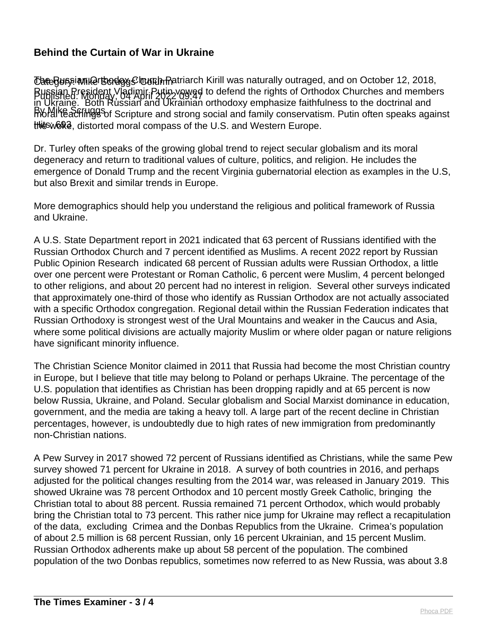Category: Mike Scruggs' Column The Russian Orthodox Church Patriarch Kirill was naturally outraged, and on October 12, 2018, Published: Monday, 04 April 2022 09:47 Russian President Vladimir Putin vowed to defend the rights of Orthodox Churches and members By Mike Scruggs moral teachings of Scripture and strong social and family conservatism. Putin often speaks against this word, distorted moral compass of the U.S. and Western Europe. in Ukraine. Both Russian and Ukrainian orthodoxy emphasize faithfulness to the doctrinal and

Dr. Turley often speaks of the growing global trend to reject secular globalism and its moral degeneracy and return to traditional values of culture, politics, and religion. He includes the emergence of Donald Trump and the recent Virginia gubernatorial election as examples in the U.S, but also Brexit and similar trends in Europe.

More demographics should help you understand the religious and political framework of Russia and Ukraine.

A U.S. State Department report in 2021 indicated that 63 percent of Russians identified with the Russian Orthodox Church and 7 percent identified as Muslims. A recent 2022 report by Russian Public Opinion Research indicated 68 percent of Russian adults were Russian Orthodox, a little over one percent were Protestant or Roman Catholic, 6 percent were Muslim, 4 percent belonged to other religions, and about 20 percent had no interest in religion. Several other surveys indicated that approximately one-third of those who identify as Russian Orthodox are not actually associated with a specific Orthodox congregation. Regional detail within the Russian Federation indicates that Russian Orthodoxy is strongest west of the Ural Mountains and weaker in the Caucus and Asia, where some political divisions are actually majority Muslim or where older pagan or nature religions have significant minority influence.

The Christian Science Monitor claimed in 2011 that Russia had become the most Christian country in Europe, but I believe that title may belong to Poland or perhaps Ukraine. The percentage of the U.S. population that identifies as Christian has been dropping rapidly and at 65 percent is now below Russia, Ukraine, and Poland. Secular globalism and Social Marxist dominance in education, government, and the media are taking a heavy toll. A large part of the recent decline in Christian percentages, however, is undoubtedly due to high rates of new immigration from predominantly non-Christian nations.

A Pew Survey in 2017 showed 72 percent of Russians identified as Christians, while the same Pew survey showed 71 percent for Ukraine in 2018. A survey of both countries in 2016, and perhaps adjusted for the political changes resulting from the 2014 war, was released in January 2019. This showed Ukraine was 78 percent Orthodox and 10 percent mostly Greek Catholic, bringing the Christian total to about 88 percent. Russia remained 71 percent Orthodox, which would probably bring the Christian total to 73 percent. This rather nice jump for Ukraine may reflect a recapitulation of the data, excluding Crimea and the Donbas Republics from the Ukraine. Crimea's population of about 2.5 million is 68 percent Russian, only 16 percent Ukrainian, and 15 percent Muslim. Russian Orthodox adherents make up about 58 percent of the population. The combined population of the two Donbas republics, sometimes now referred to as New Russia, was about 3.8